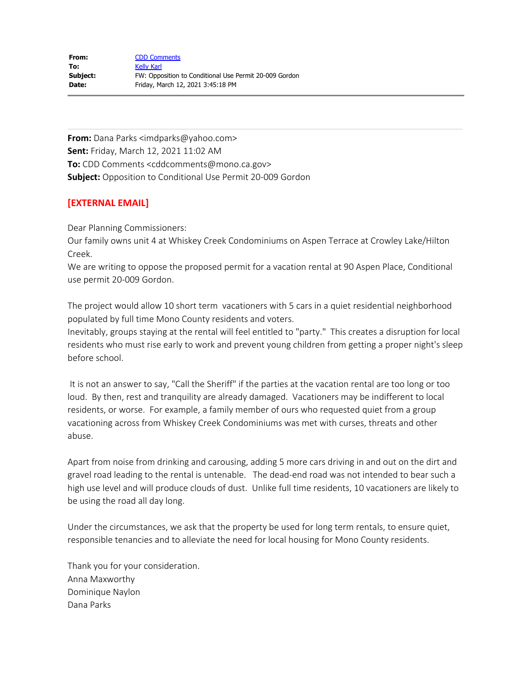**From:** Dana Parks <imdparks@yahoo.com> **Sent:** Friday, March 12, 2021 11:02 AM **To:** CDD Comments <cddcomments@mono.ca.gov> **Subject:** Opposition to Conditional Use Permit 20-009 Gordon

## **[EXTERNAL EMAIL]**

Dear Planning Commissioners:

Our family owns unit 4 at Whiskey Creek Condominiums on Aspen Terrace at Crowley Lake/Hilton Creek.

We are writing to oppose the proposed permit for a vacation rental at 90 Aspen Place, Conditional use permit 20-009 Gordon.

The project would allow 10 short term vacationers with 5 cars in a quiet residential neighborhood populated by full time Mono County residents and voters.

Inevitably, groups staying at the rental will feel entitled to "party." This creates a disruption for local residents who must rise early to work and prevent young children from getting a proper night's sleep before school.

It is not an answer to say, "Call the Sheriff" if the parties at the vacation rental are too long or too loud. By then, rest and tranquility are already damaged. Vacationers may be indifferent to local residents, or worse. For example, a family member of ours who requested quiet from a group vacationing across from Whiskey Creek Condominiums was met with curses, threats and other abuse.

Apart from noise from drinking and carousing, adding 5 more cars driving in and out on the dirt and gravel road leading to the rental is untenable. The dead-end road was not intended to bear such a high use level and will produce clouds of dust. Unlike full time residents, 10 vacationers are likely to be using the road all day long.

Under the circumstances, we ask that the property be used for long term rentals, to ensure quiet, responsible tenancies and to alleviate the need for local housing for Mono County residents.

Thank you for your consideration. Anna Maxworthy Dominique Naylon Dana Parks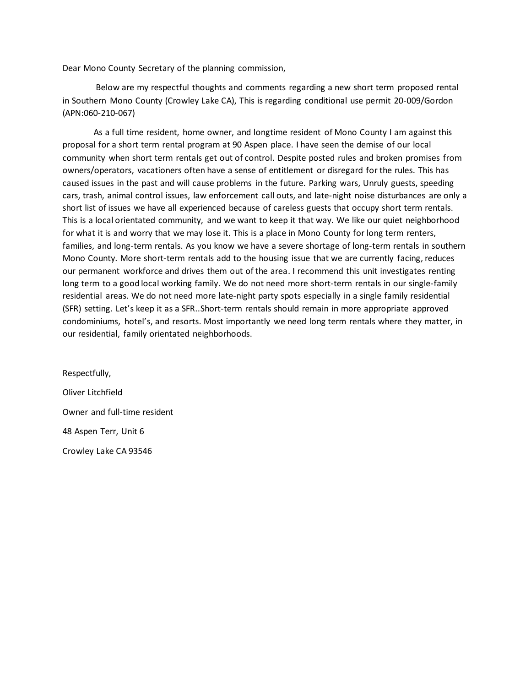Dear Mono County Secretary of the planning commission,

Below are my respectful thoughts and comments regarding a new short term proposed rental in Southern Mono County (Crowley Lake CA), This is regarding conditional use permit 20-009/Gordon (APN:060-210-067)

As a full time resident, home owner, and longtime resident of Mono County I am against this proposal for a short term rental program at 90 Aspen place. I have seen the demise of our local community when short term rentals get out of control. Despite posted rules and broken promises from owners/operators, vacationers often have a sense of entitlement or disregard for the rules. This has caused issues in the past and will cause problems in the future. Parking wars, Unruly guests, speeding cars, trash, animal control issues, law enforcement call outs, and late-night noise disturbances are only a short list of issues we have all experienced because of careless guests that occupy short term rentals. This is a local orientated community, and we want to keep it that way. We like our quiet neighborhood for what it is and worry that we may lose it. This is a place in Mono County for long term renters, families, and long-term rentals. As you know we have a severe shortage of long-term rentals in southern Mono County. More short-term rentals add to the housing issue that we are currently facing, reduces our permanent workforce and drives them out of the area. I recommend this unit investigates renting long term to a good local working family. We do not need more short-term rentals in our single-family residential areas. We do not need more late-night party spots especially in a single family residential (SFR) setting. Let's keep it as a SFR..Short-term rentals should remain in more appropriate approved condominiums, hotel's, and resorts. Most importantly we need long term rentals where they matter, in our residential, family orientated neighborhoods.

Respectfully, Oliver Litchfield Owner and full-time resident 48 Aspen Terr, Unit 6 Crowley Lake CA 93546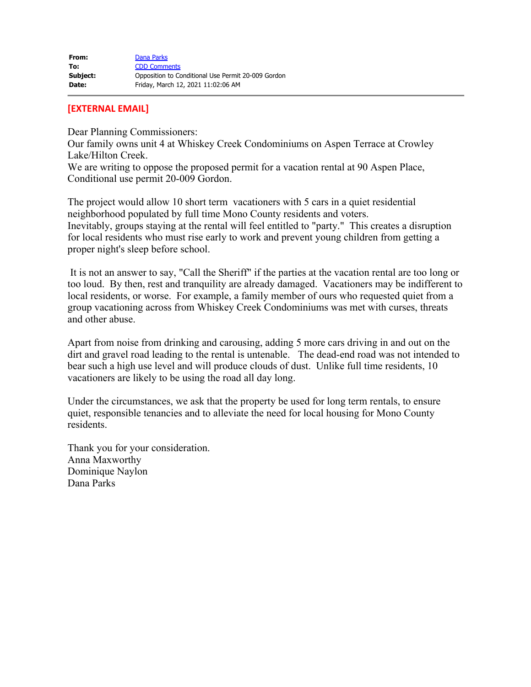## **[EXTERNAL EMAIL]**

Dear Planning Commissioners:

Our family owns unit 4 at Whiskey Creek Condominiums on Aspen Terrace at Crowley Lake/Hilton Creek.

We are writing to oppose the proposed permit for a vacation rental at 90 Aspen Place, Conditional use permit 20-009 Gordon.

The project would allow 10 short term vacationers with 5 cars in a quiet residential neighborhood populated by full time Mono County residents and voters. Inevitably, groups staying at the rental will feel entitled to "party." This creates a disruption for local residents who must rise early to work and prevent young children from getting a proper night's sleep before school.

It is not an answer to say, "Call the Sheriff" if the parties at the vacation rental are too long or too loud. By then, rest and tranquility are already damaged. Vacationers may be indifferent to local residents, or worse. For example, a family member of ours who requested quiet from a group vacationing across from Whiskey Creek Condominiums was met with curses, threats and other abuse.

Apart from noise from drinking and carousing, adding 5 more cars driving in and out on the dirt and gravel road leading to the rental is untenable. The dead-end road was not intended to bear such a high use level and will produce clouds of dust. Unlike full time residents, 10 vacationers are likely to be using the road all day long.

Under the circumstances, we ask that the property be used for long term rentals, to ensure quiet, responsible tenancies and to alleviate the need for local housing for Mono County residents.

Thank you for your consideration. Anna Maxworthy Dominique Naylon Dana Parks